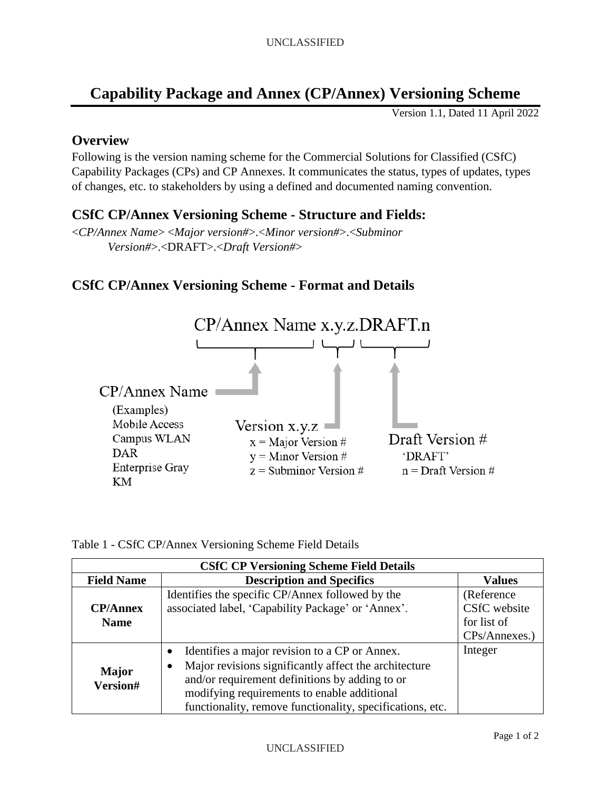## **Capability Package and Annex (CP/Annex) Versioning Scheme**

Version 1.1, Dated 11 April 2022

## **Overview**

Following is the version naming scheme for the Commercial Solutions for Classified (CSfC) Capability Packages (CPs) and CP Annexes. It communicates the status, types of updates, types of changes, etc. to stakeholders by using a defined and documented naming convention.

## **CSfC CP/Annex Versioning Scheme - Structure and Fields:**

<*CP/Annex Name*> <*Major version#*>.<*Minor version#*>.<*Subminor Version#*>.<DRAFT>.<*Draft Version#*>

## **CSfC CP/Annex Versioning Scheme - Format and Details**



| Table 1 - CSfC CP/Annex Versioning Scheme Field Details |  |  |
|---------------------------------------------------------|--|--|
|---------------------------------------------------------|--|--|

| <b>CSfC CP Versioning Scheme Field Details</b> |                                                                                                                                                                                                                                                                                        |                                                             |  |
|------------------------------------------------|----------------------------------------------------------------------------------------------------------------------------------------------------------------------------------------------------------------------------------------------------------------------------------------|-------------------------------------------------------------|--|
| <b>Field Name</b>                              | <b>Description and Specifics</b>                                                                                                                                                                                                                                                       | <b>Values</b>                                               |  |
| <b>CP/Annex</b><br><b>Name</b>                 | Identifies the specific CP/Annex followed by the<br>associated label, 'Capability Package' or 'Annex'.                                                                                                                                                                                 | (Reference)<br>CSfC website<br>for list of<br>CPs/Annexes.) |  |
| Major<br>Version#                              | Identifies a major revision to a CP or Annex.<br>$\bullet$<br>Major revisions significantly affect the architecture<br>٠<br>and/or requirement definitions by adding to or<br>modifying requirements to enable additional<br>functionality, remove functionality, specifications, etc. | Integer                                                     |  |